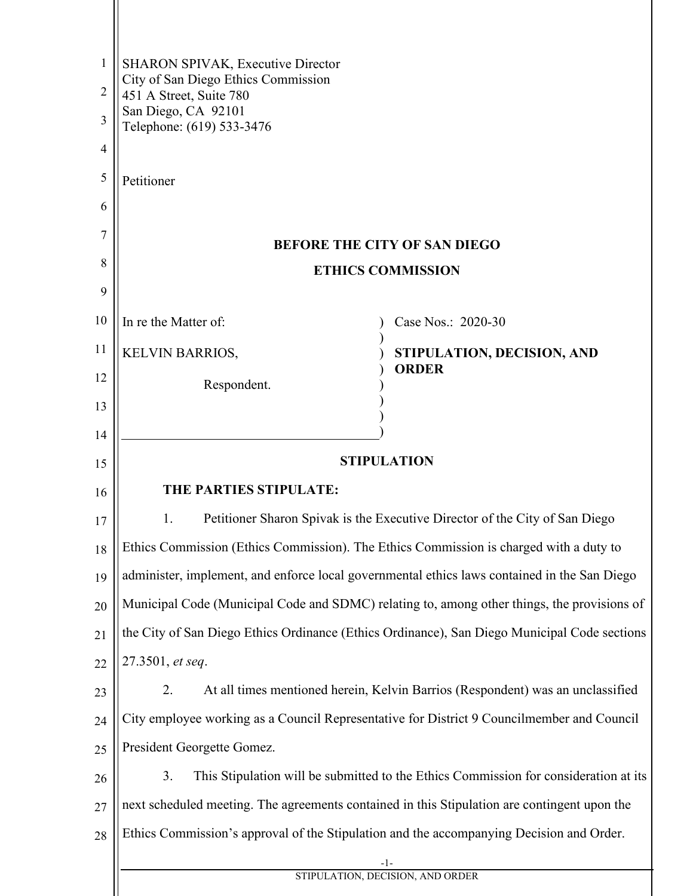| 1  | <b>SHARON SPIVAK, Executive Director</b>                                                     |                                                                                      |  |
|----|----------------------------------------------------------------------------------------------|--------------------------------------------------------------------------------------|--|
| 2  | City of San Diego Ethics Commission<br>451 A Street, Suite 780                               |                                                                                      |  |
| 3  | San Diego, CA 92101<br>Telephone: (619) 533-3476                                             |                                                                                      |  |
| 4  |                                                                                              |                                                                                      |  |
| 5  | Petitioner                                                                                   |                                                                                      |  |
| 6  |                                                                                              |                                                                                      |  |
| 7  | <b>BEFORE THE CITY OF SAN DIEGO</b>                                                          |                                                                                      |  |
| 8  | <b>ETHICS COMMISSION</b>                                                                     |                                                                                      |  |
| 9  |                                                                                              |                                                                                      |  |
| 10 | In re the Matter of:                                                                         | Case Nos.: 2020-30                                                                   |  |
| 11 | <b>KELVIN BARRIOS,</b>                                                                       | STIPULATION, DECISION, AND                                                           |  |
| 12 | Respondent.                                                                                  | <b>ORDER</b>                                                                         |  |
| 13 |                                                                                              |                                                                                      |  |
| 14 |                                                                                              |                                                                                      |  |
| 15 | <b>STIPULATION</b>                                                                           |                                                                                      |  |
| 16 | THE PARTIES STIPULATE:                                                                       |                                                                                      |  |
| 17 | Petitioner Sharon Spivak is the Executive Director of the City of San Diego<br>1.            |                                                                                      |  |
| 18 | Ethics Commission (Ethics Commission). The Ethics Commission is charged with a duty to       |                                                                                      |  |
| 19 | administer, implement, and enforce local governmental ethics laws contained in the San Diego |                                                                                      |  |
| 20 | Municipal Code (Municipal Code and SDMC) relating to, among other things, the provisions of  |                                                                                      |  |
| 21 | the City of San Diego Ethics Ordinance (Ethics Ordinance), San Diego Municipal Code sections |                                                                                      |  |
| 22 | 27.3501, et seq.                                                                             |                                                                                      |  |
| 23 | 2.                                                                                           | At all times mentioned herein, Kelvin Barrios (Respondent) was an unclassified       |  |
| 24 | City employee working as a Council Representative for District 9 Councilmember and Council   |                                                                                      |  |
| 25 | President Georgette Gomez.                                                                   |                                                                                      |  |
| 26 | 3.                                                                                           | This Stipulation will be submitted to the Ethics Commission for consideration at its |  |
| 27 | next scheduled meeting. The agreements contained in this Stipulation are contingent upon the |                                                                                      |  |
| 28 | Ethics Commission's approval of the Stipulation and the accompanying Decision and Order.     |                                                                                      |  |
|    | -1-<br>STIPULATION, DECISION, AND ORDER                                                      |                                                                                      |  |
|    |                                                                                              |                                                                                      |  |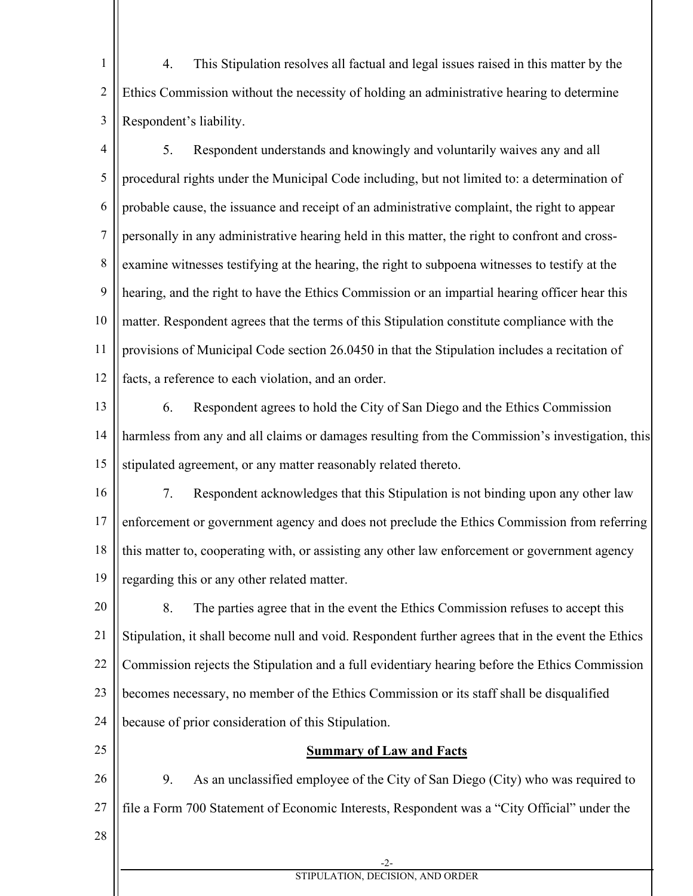1 2 3 4. This Stipulation resolves all factual and legal issues raised in this matter by the Ethics Commission without the necessity of holding an administrative hearing to determine Respondent's liability.

4 5 6 7 8 9 10 11 12 5. Respondent understands and knowingly and voluntarily waives any and all procedural rights under the Municipal Code including, but not limited to: a determination of probable cause, the issuance and receipt of an administrative complaint, the right to appear personally in any administrative hearing held in this matter, the right to confront and crossexamine witnesses testifying at the hearing, the right to subpoena witnesses to testify at the hearing, and the right to have the Ethics Commission or an impartial hearing officer hear this matter. Respondent agrees that the terms of this Stipulation constitute compliance with the provisions of Municipal Code section 26.0450 in that the Stipulation includes a recitation of facts, a reference to each violation, and an order.

- 13 14 15 6. Respondent agrees to hold the City of San Diego and the Ethics Commission harmless from any and all claims or damages resulting from the Commission's investigation, this stipulated agreement, or any matter reasonably related thereto.
- 16 17 18 19 7. Respondent acknowledges that this Stipulation is not binding upon any other law enforcement or government agency and does not preclude the Ethics Commission from referring this matter to, cooperating with, or assisting any other law enforcement or government agency regarding this or any other related matter.

20 21 22 23 24 8. The parties agree that in the event the Ethics Commission refuses to accept this Stipulation, it shall become null and void. Respondent further agrees that in the event the Ethics Commission rejects the Stipulation and a full evidentiary hearing before the Ethics Commission becomes necessary, no member of the Ethics Commission or its staff shall be disqualified because of prior consideration of this Stipulation.

25

## **Summary of Law and Facts**

26 27 9. As an unclassified employee of the City of San Diego (City) who was required to file a Form 700 Statement of Economic Interests, Respondent was a "City Official" under the

28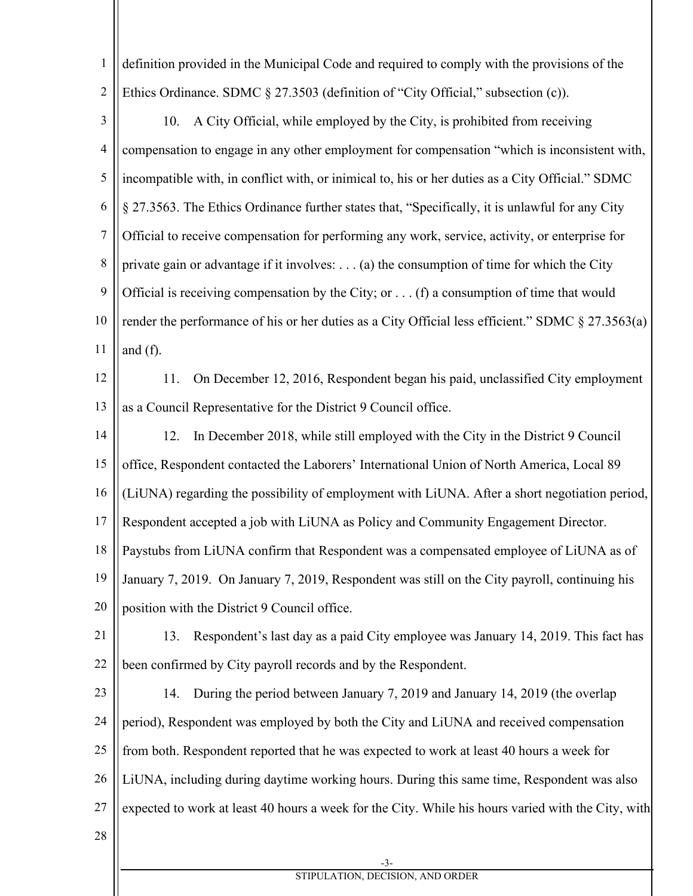1 2 definition provided in the Municipal Code and required to comply with the provisions of the Ethics Ordinance. SDMC § 27.3503 (definition of "City Official," subsection (c)).

- 3 4 5 6 7 8 9 10 11 10. A City Official, while employed by the City, is prohibited from receiving compensation to engage in any other employment for compensation "which is inconsistent with, incompatible with, in conflict with, or inimical to, his or her duties as a City Official." SDMC § 27.3563. The Ethics Ordinance further states that, "Specifically, it is unlawful for any City Official to receive compensation for performing any work, service, activity, or enterprise for private gain or advantage if it involves:  $\dots$  (a) the consumption of time for which the City Official is receiving compensation by the City; or  $\dots$  (f) a consumption of time that would render the performance of his or her duties as a City Official less efficient." SDMC § 27.3563(a) and (f).
- 12

13

11. On December 12, 2016, Respondent began his paid, unclassified City employment as a Council Representative for the District 9 Council office.

14 15 16 17 18 19 12. In December 2018, while still employed with the City in the District 9 Council office, Respondent contacted the Laborers' International Union of North America, Local 89 (LiUNA) regarding the possibility of employment with LiUNA. After a short negotiation period, Respondent accepted a job with LiUNA as Policy and Community Engagement Director. Paystubs from LiUNA confirm that Respondent was a compensated employee of LiUNA as of January 7, 2019. On January 7, 2019, Respondent was still on the City payroll, continuing his

20 position with the District 9 Council office.

- 21 22 13. Respondent's last day as a paid City employee was January 14, 2019. This fact has been confirmed by City payroll records and by the Respondent.
- 23 24 25 26 27 14. During the period between January 7, 2019 and January 14, 2019 (the overlap period), Respondent was employed by both the City and LiUNA and received compensation from both. Respondent reported that he was expected to work at least 40 hours a week for LiUNA, including during daytime working hours. During this same time, Respondent was also expected to work at least 40 hours a week for the City. While his hours varied with the City, with
- 28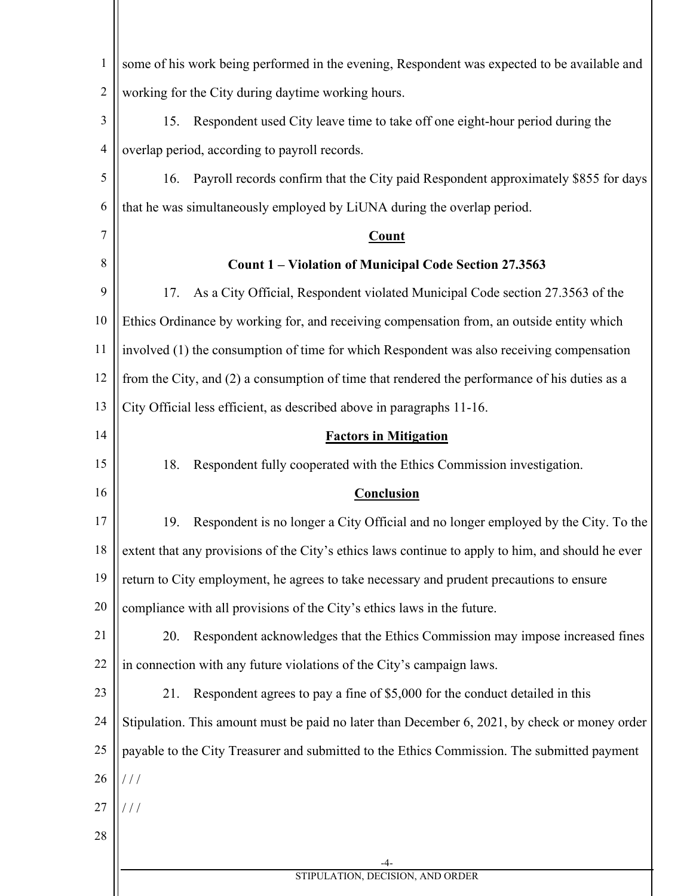| $\mathbf{1}$   | some of his work being performed in the evening, Respondent was expected to be available and      |  |  |
|----------------|---------------------------------------------------------------------------------------------------|--|--|
| $\overline{2}$ | working for the City during daytime working hours.                                                |  |  |
| 3              | Respondent used City leave time to take off one eight-hour period during the<br>15.               |  |  |
| $\overline{4}$ | overlap period, according to payroll records.                                                     |  |  |
| 5              | Payroll records confirm that the City paid Respondent approximately \$855 for days<br>16.         |  |  |
| 6              | that he was simultaneously employed by LiUNA during the overlap period.                           |  |  |
| 7              | <b>Count</b>                                                                                      |  |  |
| 8              | Count 1 – Violation of Municipal Code Section 27.3563                                             |  |  |
| 9              | As a City Official, Respondent violated Municipal Code section 27.3563 of the<br>17.              |  |  |
| 10             | Ethics Ordinance by working for, and receiving compensation from, an outside entity which         |  |  |
| 11             | involved (1) the consumption of time for which Respondent was also receiving compensation         |  |  |
| 12             | from the City, and (2) a consumption of time that rendered the performance of his duties as a     |  |  |
| 13             | City Official less efficient, as described above in paragraphs 11-16.                             |  |  |
| 14             | <b>Factors in Mitigation</b>                                                                      |  |  |
| 15             | 18.<br>Respondent fully cooperated with the Ethics Commission investigation.                      |  |  |
| 16             | <b>Conclusion</b>                                                                                 |  |  |
| 17             | Respondent is no longer a City Official and no longer employed by the City. To the<br>19.         |  |  |
| 18             | extent that any provisions of the City's ethics laws continue to apply to him, and should he ever |  |  |
| 19             | return to City employment, he agrees to take necessary and prudent precautions to ensure          |  |  |
| 20             | compliance with all provisions of the City's ethics laws in the future.                           |  |  |
| 21             | Respondent acknowledges that the Ethics Commission may impose increased fines<br>20.              |  |  |
| 22             | in connection with any future violations of the City's campaign laws.                             |  |  |
| 23             | Respondent agrees to pay a fine of \$5,000 for the conduct detailed in this<br>21.                |  |  |
| 24             | Stipulation. This amount must be paid no later than December 6, 2021, by check or money order     |  |  |
| 25             | payable to the City Treasurer and submitted to the Ethics Commission. The submitted payment       |  |  |
| 26             | 111                                                                                               |  |  |
| 27             | ///                                                                                               |  |  |
| 28             |                                                                                                   |  |  |
|                |                                                                                                   |  |  |
|                | STIPULATION, DECISION, AND ORDER                                                                  |  |  |